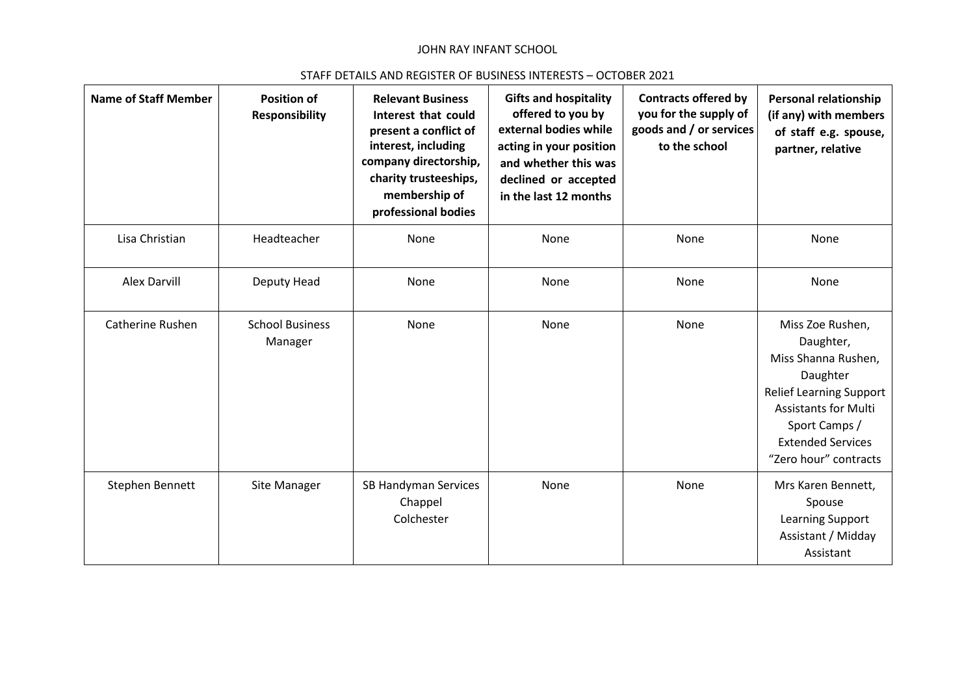## JOHN RAY INFANT SCHOOL

## STAFF DETAILS AND REGISTER OF BUSINESS INTERESTS – OCTOBER 2021

| <b>Name of Staff Member</b> | <b>Position of</b><br><b>Responsibility</b> | <b>Relevant Business</b><br>Interest that could<br>present a conflict of<br>interest, including<br>company directorship,<br>charity trusteeships,<br>membership of<br>professional bodies | <b>Gifts and hospitality</b><br>offered to you by<br>external bodies while<br>acting in your position<br>and whether this was<br>declined or accepted<br>in the last 12 months | <b>Contracts offered by</b><br>you for the supply of<br>goods and / or services<br>to the school | <b>Personal relationship</b><br>(if any) with members<br>of staff e.g. spouse,<br>partner, relative                                                                                                     |
|-----------------------------|---------------------------------------------|-------------------------------------------------------------------------------------------------------------------------------------------------------------------------------------------|--------------------------------------------------------------------------------------------------------------------------------------------------------------------------------|--------------------------------------------------------------------------------------------------|---------------------------------------------------------------------------------------------------------------------------------------------------------------------------------------------------------|
| Lisa Christian              | Headteacher                                 | None                                                                                                                                                                                      | None                                                                                                                                                                           | None                                                                                             | None                                                                                                                                                                                                    |
| <b>Alex Darvill</b>         | Deputy Head                                 | None                                                                                                                                                                                      | None                                                                                                                                                                           | None                                                                                             | None                                                                                                                                                                                                    |
| Catherine Rushen            | <b>School Business</b><br>Manager           | None                                                                                                                                                                                      | None                                                                                                                                                                           | None                                                                                             | Miss Zoe Rushen,<br>Daughter,<br>Miss Shanna Rushen,<br>Daughter<br><b>Relief Learning Support</b><br><b>Assistants for Multi</b><br>Sport Camps /<br><b>Extended Services</b><br>"Zero hour" contracts |
| Stephen Bennett             | Site Manager                                | SB Handyman Services<br>Chappel<br>Colchester                                                                                                                                             | None                                                                                                                                                                           | None                                                                                             | Mrs Karen Bennett,<br>Spouse<br>Learning Support<br>Assistant / Midday<br>Assistant                                                                                                                     |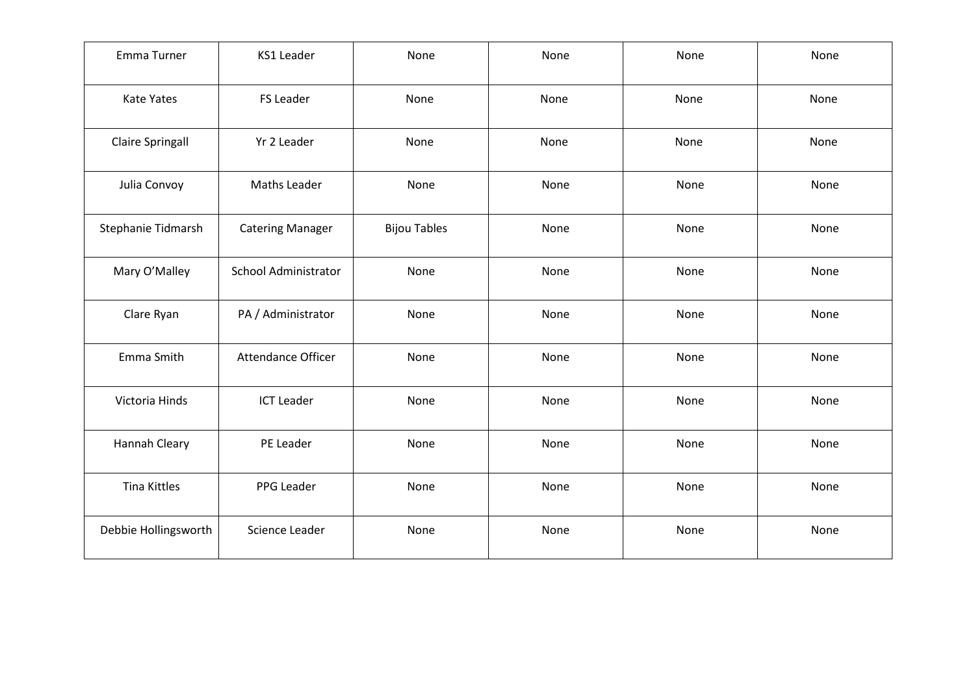| Emma Turner             | <b>KS1 Leader</b>       | None                | None | None | None |
|-------------------------|-------------------------|---------------------|------|------|------|
| Kate Yates              | <b>FS Leader</b>        | None                | None | None | None |
| <b>Claire Springall</b> | Yr 2 Leader             | None                | None | None | None |
| Julia Convoy            | Maths Leader            | None                | None | None | None |
| Stephanie Tidmarsh      | <b>Catering Manager</b> | <b>Bijou Tables</b> | None | None | None |
| Mary O'Malley           | School Administrator    | None                | None | None | None |
| Clare Ryan              | PA / Administrator      | None                | None | None | None |
| Emma Smith              | Attendance Officer      | None                | None | None | None |
| Victoria Hinds          | <b>ICT Leader</b>       | None                | None | None | None |
| <b>Hannah Cleary</b>    | PE Leader               | None                | None | None | None |
| <b>Tina Kittles</b>     | PPG Leader              | None                | None | None | None |
| Debbie Hollingsworth    | Science Leader          | None                | None | None | None |